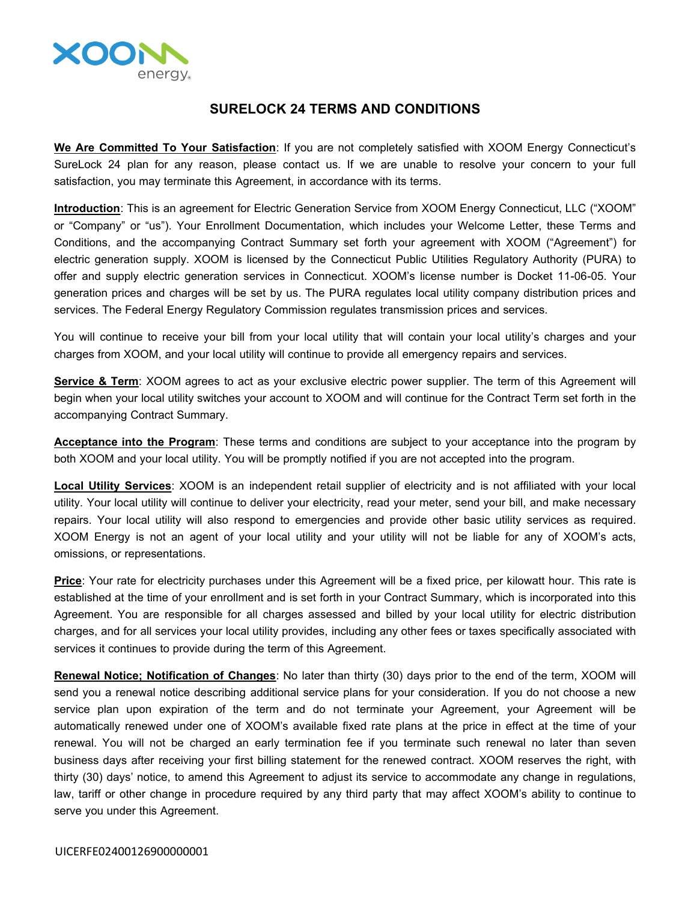

## **SURELOCK 24 TERMS AND CONDITIONS**

**We Are Committed To Your Satisfaction**: If you are not completely satisfied with XOOM Energy Connecticut's SureLock 24 plan for any reason, please contact us. If we are unable to resolve your concern to your full satisfaction, you may terminate this Agreement, in accordance with its terms.

**Introduction**: This is an agreement for Electric Generation Service from XOOM Energy Connecticut, LLC ("XOOM" or "Company" or "us"). Your Enrollment Documentation, which includes your Welcome Letter, these Terms and Conditions, and the accompanying Contract Summary set forth your agreement with XOOM ("Agreement") for electric generation supply. XOOM is licensed by the Connecticut Public Utilities Regulatory Authority (PURA) to offer and supply electric generation services in Connecticut. XOOM's license number is Docket 11-06-05. Your generation prices and charges will be set by us. The PURA regulates local utility company distribution prices and services. The Federal Energy Regulatory Commission regulates transmission prices and services.

You will continue to receive your bill from your local utility that will contain your local utility's charges and your charges from XOOM, and your local utility will continue to provide all emergency repairs and services.

**Service & Term**: XOOM agrees to act as your exclusive electric power supplier. The term of this Agreement will begin when your local utility switches your account to XOOM and will continue for the Contract Term set forth in the accompanying Contract Summary.

**Acceptance into the Program**: These terms and conditions are subject to your acceptance into the program by both XOOM and your local utility. You will be promptly notified if you are not accepted into the program.

**Local Utility Services**: XOOM is an independent retail supplier of electricity and is not affiliated with your local utility. Your local utility will continue to deliver your electricity, read your meter, send your bill, and make necessary repairs. Your local utility will also respond to emergencies and provide other basic utility services as required. XOOM Energy is not an agent of your local utility and your utility will not be liable for any of XOOM's acts, omissions, or representations.

**Price**: Your rate for electricity purchases under this Agreement will be a fixed price, per kilowatt hour. This rate is established at the time of your enrollment and is set forth in your Contract Summary, which is incorporated into this Agreement. You are responsible for all charges assessed and billed by your local utility for electric distribution charges, and for all services your local utility provides, including any other fees or taxes specifically associated with services it continues to provide during the term of this Agreement.

**Renewal Notice; Notification of Changes**: No later than thirty (30) days prior to the end of the term, XOOM will send you a renewal notice describing additional service plans for your consideration. If you do not choose a new service plan upon expiration of the term and do not terminate your Agreement, your Agreement will be automatically renewed under one of XOOM's available fixed rate plans at the price in effect at the time of your renewal. You will not be charged an early termination fee if you terminate such renewal no later than seven business days after receiving your first billing statement for the renewed contract. XOOM reserves the right, with thirty (30) days' notice, to amend this Agreement to adjust its service to accommodate any change in regulations, law, tariff or other change in procedure required by any third party that may affect XOOM's ability to continue to serve you under this Agreement.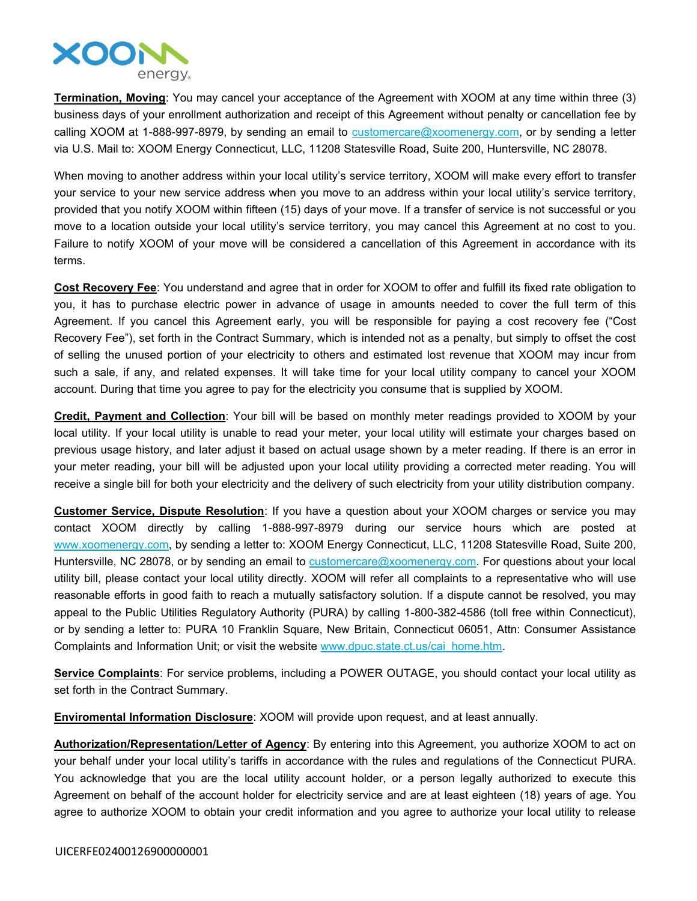

**Termination, Moving**: You may cancel your acceptance of the Agreement with XOOM at any time within three (3) business days of your enrollment authorization and receipt of this Agreement without penalty or cancellation fee by calling XOOM at 1-888-997-8979, by sending an email to  $\frac{customer}{c}$  customercare  $@x$  oomenergy.com, or by sending a letter via U.S. Mail to: XOOM Energy Connecticut, LLC, 11208 Statesville Road, Suite 200, Huntersville, NC 28078.

When moving to another address within your local utility's service territory, XOOM will make every effort to transfer your service to your new service address when you move to an address within your local utility's service territory, provided that you notify XOOM within fifteen (15) days of your move. If a transfer of service is not successful or you move to a location outside your local utility's service territory, you may cancel this Agreement at no cost to you. Failure to notify XOOM of your move will be considered a cancellation of this Agreement in accordance with its terms.

**Cost Recovery Fee**: You understand and agree that in order for XOOM to offer and fulfill its fixed rate obligation to you, it has to purchase electric power in advance of usage in amounts needed to cover the full term of this Agreement. If you cancel this Agreement early, you will be responsible for paying a cost recovery fee ("Cost Recovery Fee"), set forth in the Contract Summary, which is intended not as a penalty, but simply to offset the cost of selling the unused portion of your electricity to others and estimated lost revenue that XOOM may incur from such a sale, if any, and related expenses. It will take time for your local utility company to cancel your XOOM account. During that time you agree to pay for the electricity you consume that is supplied by XOOM.

**Credit, Payment and Collection**: Your bill will be based on monthly meter readings provided to XOOM by your local utility. If your local utility is unable to read your meter, your local utility will estimate your charges based on previous usage history, and later adjust it based on actual usage shown by a meter reading. If there is an error in your meter reading, your bill will be adjusted upon your local utility providing a corrected meter reading. You will receive a single bill for both your electricity and the delivery of such electricity from your utility distribution company.

**Customer Service, Dispute Resolution**: If you have a question about your XOOM charges or service you may contact XOOM directly by calling 1-888-997-8979 during our service hours which are posted at [www.xoomenergy.com](http://www.xoomenergy.com), by sending a letter to: XOOM Energy Connecticut, LLC, 11208 Statesville Road, Suite 200, Huntersville, NC 28078, or by sending an email to [customercare@xoomenergy.com.](mailto:customercare@xoomenergy.com) For questions about your local utility bill, please contact your local utility directly. XOOM will refer all complaints to a representative who will use reasonable efforts in good faith to reach a mutually satisfactory solution. If a dispute cannot be resolved, you may appeal to the Public Utilities Regulatory Authority (PURA) by calling 1-800-382-4586 (toll free within Connecticut), or by sending a letter to: PURA 10 Franklin Square, New Britain, Connecticut 06051, Attn: Consumer Assistance Complaints and Information Unit; or visit the website [www.dpuc.state.ct.us/cai\\_home.htm](http://www.dpuc.state.ct.us/cai_home.htm).

**Service Complaints**: For service problems, including a POWER OUTAGE, you should contact your local utility as set forth in the Contract Summary.

**Enviromental Information Disclosure**: XOOM will provide upon request, and at least annually.

**Authorization/Representation/Letter of Agency**: By entering into this Agreement, you authorize XOOM to act on your behalf under your local utility's tariffs in accordance with the rules and regulations of the Connecticut PURA. You acknowledge that you are the local utility account holder, or a person legally authorized to execute this Agreement on behalf of the account holder for electricity service and are at least eighteen (18) years of age. You agree to authorize XOOM to obtain your credit information and you agree to authorize your local utility to release